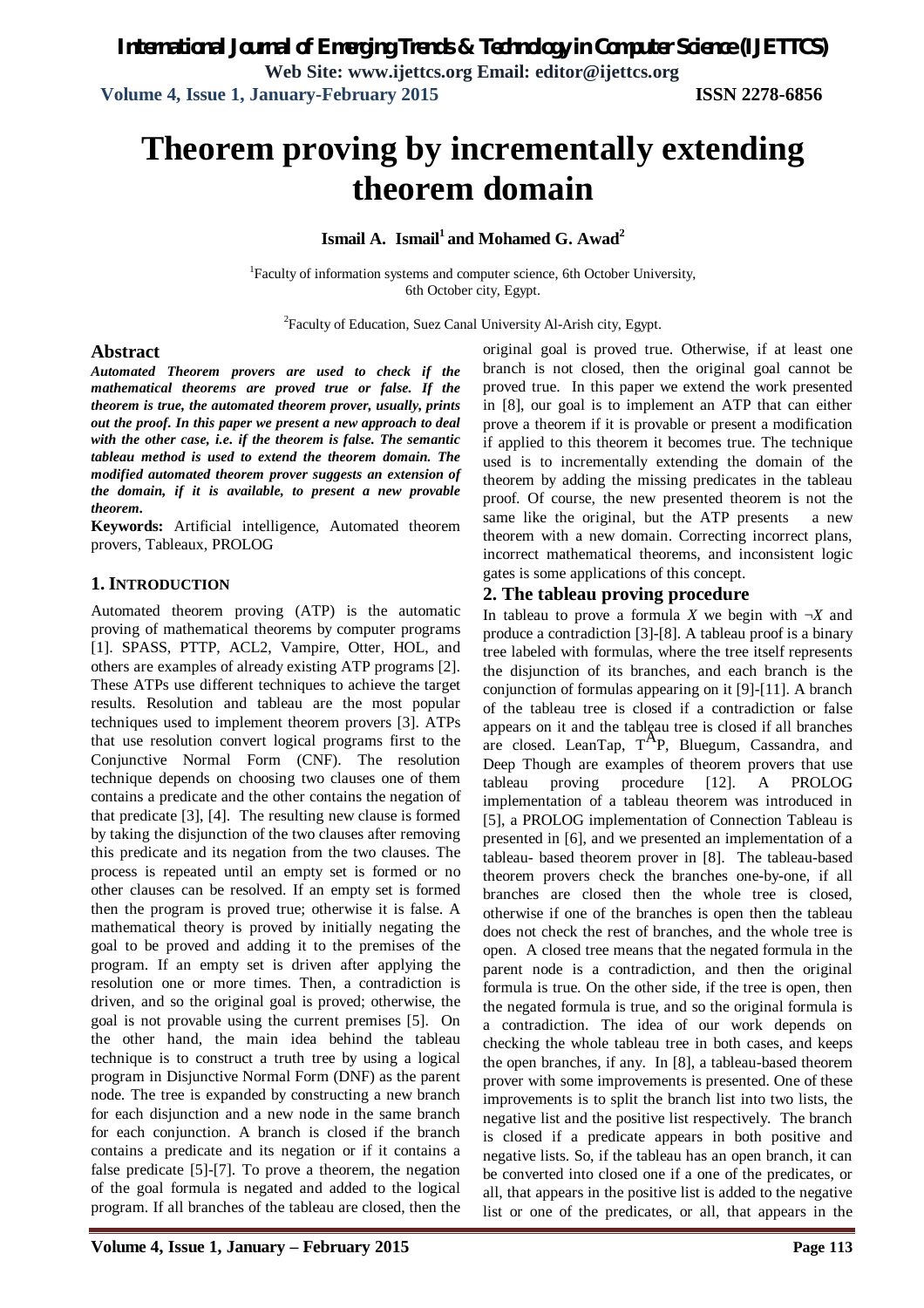*International Journal of Emerging Trends & Technology in Computer Science (IJETTCS)* **Web Site: www.ijettcs.org Email: editor@ijettcs.org** 

 **Volume 4, Issue 1, January-February 2015 ISSN 2278-6856**

# **Theorem proving by incrementally extending theorem domain**

**Ismail A. Ismail<sup>1</sup>and Mohamed G. Awad<sup>2</sup>**

<sup>1</sup>Faculty of information systems and computer science, 6th October University, 6th October city, Egypt.

<sup>2</sup> Faculty of Education, Suez Canal University Al-Arish city, Egypt.

### **Abstract**

*Automated Theorem provers are used to check if the mathematical theorems are proved true or false. If the theorem is true, the automated theorem prover, usually, prints out the proof. In this paper we present a new approach to deal with the other case, i.e. if the theorem is false. The semantic tableau method is used to extend the theorem domain. The modified automated theorem prover suggests an extension of the domain, if it is available, to present a new provable theorem.*

**Keywords:** Artificial intelligence, Automated theorem provers, Tableaux, PROLOG

# **1. INTRODUCTION**

Automated theorem proving (ATP) is the automatic proving of mathematical theorems by computer programs [1]. SPASS, PTTP, ACL2, Vampire, Otter, HOL, and others are examples of already existing ATP programs [2]. These ATPs use different techniques to achieve the target results. Resolution and tableau are the most popular techniques used to implement theorem provers [3]. ATPs that use resolution convert logical programs first to the Conjunctive Normal Form (CNF). The resolution technique depends on choosing two clauses one of them contains a predicate and the other contains the negation of that predicate [3], [4]. The resulting new clause is formed by taking the disjunction of the two clauses after removing this predicate and its negation from the two clauses. The process is repeated until an empty set is formed or no other clauses can be resolved. If an empty set is formed then the program is proved true; otherwise it is false. A mathematical theory is proved by initially negating the goal to be proved and adding it to the premises of the program. If an empty set is driven after applying the resolution one or more times. Then, a contradiction is driven, and so the original goal is proved; otherwise, the goal is not provable using the current premises [5]. On the other hand, the main idea behind the tableau technique is to construct a truth tree by using a logical program in Disjunctive Normal Form (DNF) as the parent node. The tree is expanded by constructing a new branch for each disjunction and a new node in the same branch for each conjunction. A branch is closed if the branch contains a predicate and its negation or if it contains a false predicate [5]-[7]. To prove a theorem, the negation of the goal formula is negated and added to the logical program. If all branches of the tableau are closed, then the

original goal is proved true. Otherwise, if at least one branch is not closed, then the original goal cannot be proved true. In this paper we extend the work presented in [8], our goal is to implement an ATP that can either prove a theorem if it is provable or present a modification if applied to this theorem it becomes true. The technique used is to incrementally extending the domain of the theorem by adding the missing predicates in the tableau proof. Of course, the new presented theorem is not the same like the original, but the ATP presents a new theorem with a new domain. Correcting incorrect plans, incorrect mathematical theorems, and inconsistent logic gates is some applications of this concept.

# **2. The tableau proving procedure**

In tableau to prove a formula *X* we begin with  $\neg X$  and produce a contradiction [3]-[8]. A tableau proof is a binary tree labeled with formulas, where the tree itself represents the disjunction of its branches, and each branch is the conjunction of formulas appearing on it [9]-[11]. A branch of the tableau tree is closed if a contradiction or false appears on it and the tableau tree is closed if all branches are closed. LeanTap,  $T^{A}P$ , Bluegum, Cassandra, and Deep Though are examples of theorem provers that use tableau proving procedure [12]. A PROLOG implementation of a tableau theorem was introduced in [5], a PROLOG implementation of Connection Tableau is presented in [6], and we presented an implementation of a tableau- based theorem prover in [8]. The tableau-based theorem provers check the branches one-by-one, if all branches are closed then the whole tree is closed, otherwise if one of the branches is open then the tableau does not check the rest of branches, and the whole tree is open. A closed tree means that the negated formula in the parent node is a contradiction, and then the original formula is true. On the other side, if the tree is open, then the negated formula is true, and so the original formula is a contradiction. The idea of our work depends on checking the whole tableau tree in both cases, and keeps the open branches, if any. In [8], a tableau-based theorem prover with some improvements is presented. One of these improvements is to split the branch list into two lists, the negative list and the positive list respectively. The branch is closed if a predicate appears in both positive and negative lists. So, if the tableau has an open branch, it can be converted into closed one if a one of the predicates, or all, that appears in the positive list is added to the negative list or one of the predicates, or all, that appears in the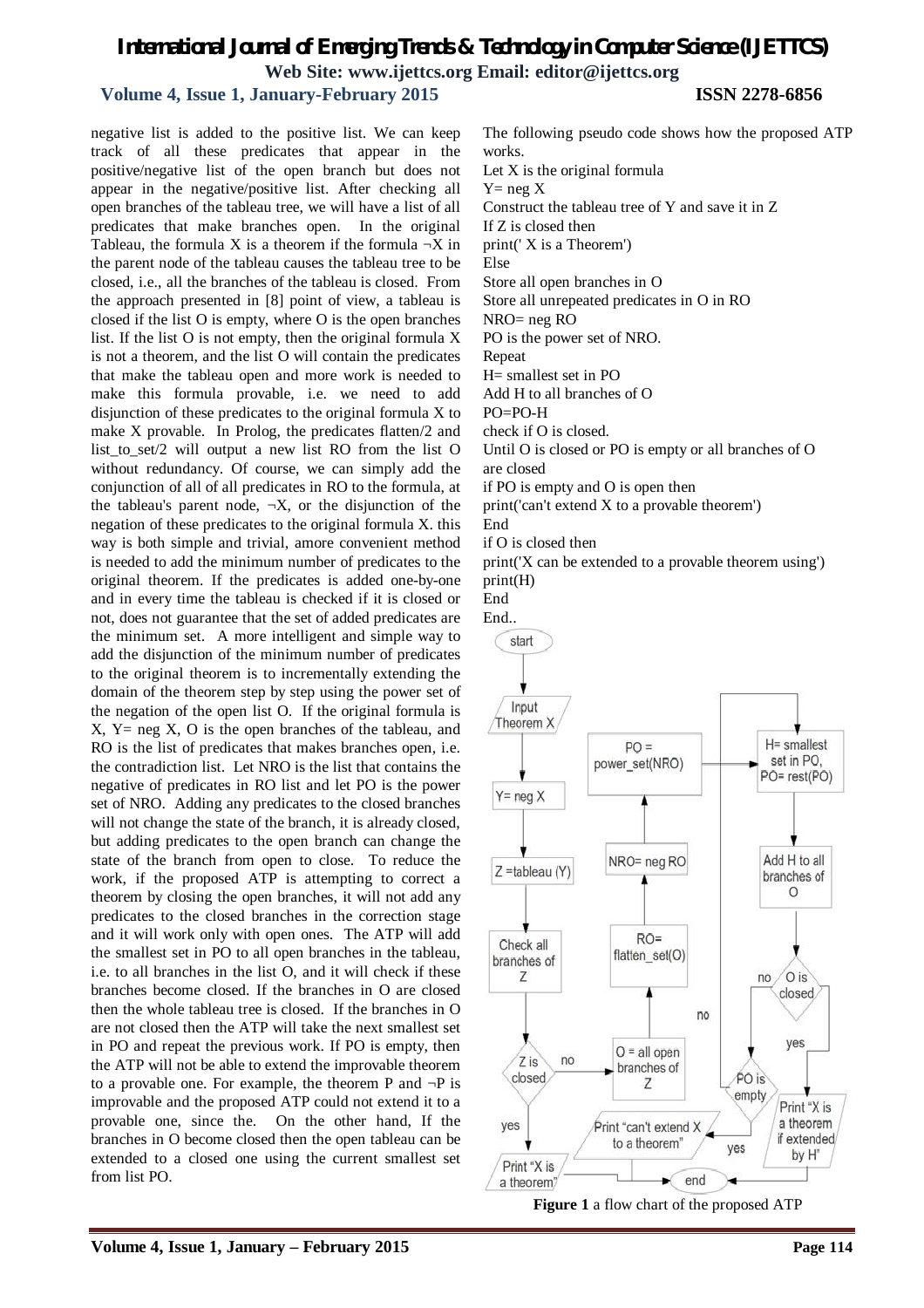# *International Journal of Emerging Trends & Technology in Computer Science (IJETTCS)* **Web Site: www.ijettcs.org Email: editor@ijettcs.org**

# **Volume 4, Issue 1, January-February 2015 ISSN 2278-6856**

negative list is added to the positive list. We can keep track of all these predicates that appear in the positive/negative list of the open branch but does not appear in the negative/positive list. After checking all open branches of the tableau tree, we will have a list of all predicates that make branches open. In the original Tableau, the formula X is a theorem if the formula  $\neg X$  in the parent node of the tableau causes the tableau tree to be closed, i.e., all the branches of the tableau is closed. From the approach presented in [8] point of view, a tableau is closed if the list O is empty, where O is the open branches list. If the list O is not empty, then the original formula X is not a theorem, and the list O will contain the predicates that make the tableau open and more work is needed to make this formula provable, i.e. we need to add disjunction of these predicates to the original formula X to make X provable. In Prolog, the predicates flatten/2 and list\_to\_set/2 will output a new list RO from the list O without redundancy. Of course, we can simply add the conjunction of all of all predicates in RO to the formula, at the tableau's parent node,  $\neg X$ , or the disjunction of the negation of these predicates to the original formula X. this way is both simple and trivial, amore convenient method is needed to add the minimum number of predicates to the original theorem. If the predicates is added one-by-one and in every time the tableau is checked if it is closed or not, does not guarantee that the set of added predicates are the minimum set. A more intelligent and simple way to add the disjunction of the minimum number of predicates to the original theorem is to incrementally extending the domain of the theorem step by step using the power set of the negation of the open list O. If the original formula is  $X, Y = neg X, O$  is the open branches of the tableau, and RO is the list of predicates that makes branches open, i.e. the contradiction list. Let NRO is the list that contains the negative of predicates in RO list and let PO is the power set of NRO. Adding any predicates to the closed branches will not change the state of the branch, it is already closed, but adding predicates to the open branch can change the state of the branch from open to close. To reduce the work, if the proposed ATP is attempting to correct a theorem by closing the open branches, it will not add any predicates to the closed branches in the correction stage and it will work only with open ones. The ATP will add the smallest set in PO to all open branches in the tableau, i.e. to all branches in the list O, and it will check if these branches become closed. If the branches in O are closed then the whole tableau tree is closed. If the branches in O are not closed then the ATP will take the next smallest set in PO and repeat the previous work. If PO is empty, then the ATP will not be able to extend the improvable theorem to a provable one. For example, the theorem P and  $\neg P$  is improvable and the proposed ATP could not extend it to a provable one, since the. On the other hand, If the branches in O become closed then the open tableau can be extended to a closed one using the current smallest set from list PO.

The following pseudo code shows how the proposed ATP works. Let X is the original formula  $Y=$  neg  $X$ Construct the tableau tree of Y and save it in Z If Z is closed then print(' X is a Theorem') Else Store all open branches in O Store all unrepeated predicates in O in RO NRO= neg RO PO is the power set of NRO. Repeat H= smallest set in PO Add H to all branches of O PO=PO-H check if O is closed. Until O is closed or PO is empty or all branches of O are closed if PO is empty and O is open then print('can't extend X to a provable theorem') End

if O is closed then

print('X can be extended to a provable theorem using') print(H)

End End..



**Figure 1** a flow chart of the proposed ATP